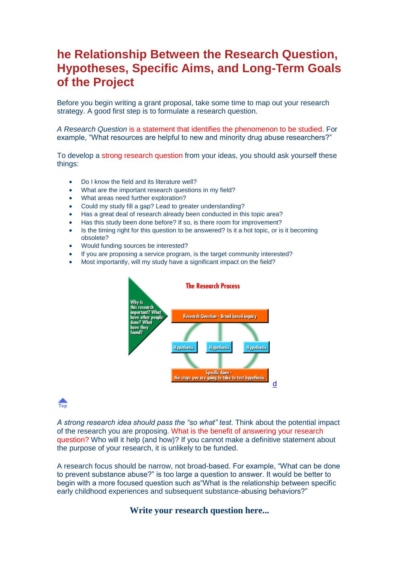# **he Relationship Between the Research Question, Hypotheses, Specific Aims, and Long-Term Goals of the Project**

Before you begin writing a grant proposal, take some time to map out your research strategy. A good first step is to formulate a research question.

*A Research Question* is a statement that identifies the phenomenon to be studied. For example, "What resources are helpful to new and minority drug abuse researchers?"

To develop a strong research question from your ideas, you should ask yourself these things:

- Do I know the field and its literature well?
- What are the important research questions in my field?
- What areas need further exploration?
- Could my study fill a gap? Lead to greater understanding?
- Has a great deal of research already been conducted in this topic area?
- Has this study been done before? If so, is there room for improvement?
- Is the timing right for this question to be answered? Is it a hot topic, or is it becoming obsolete?
- Would funding sources be interested?
- If you are proposing a service program, is the target community interested?
- Most importantly, will my study have a significant impact on the field?



## $\frac{1}{100}$

*A strong research idea should pass the "so what" test.* Think about the potential impact of the research you are proposing. What is the benefit of answering your research question? Who will it help (and how)? If you cannot make a definitive statement about the purpose of your research, it is unlikely to be funded.

A research focus should be narrow, not broad-based. For example, "What can be done to prevent substance abuse?" is too large a question to answer. It would be better to begin with a more focused question such as"What is the relationship between specific early childhood experiences and subsequent substance-abusing behaviors?"

### **Write your research question here...**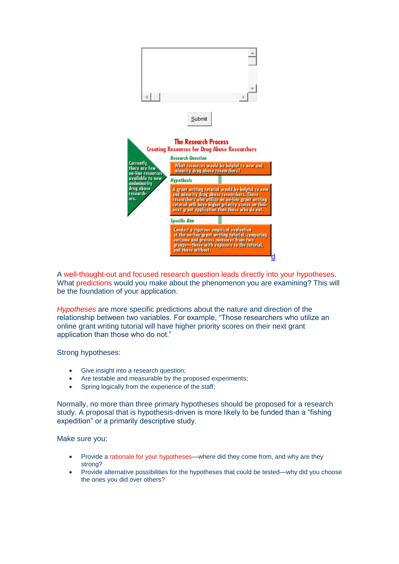

A well-thought-out and focused research question leads directly into your hypotheses. What predictions would you make about the phenomenon you are examining? This will be the foundation of your application.

*Hypotheses* are more specific predictions about the nature and direction of the relationship between two variables. For example, "Those researchers who utilize an online grant writing tutorial will have higher priority scores on their next grant application than those who do not."

Strong hypotheses:

- Give insight into a research question;
- Are testable and measurable by the proposed experiments;
- Spring logically from the experience of the staff;

Normally, no more than three primary hypotheses should be proposed for a research study. A proposal that is hypothesis-driven is more likely to be funded than a "fishing expedition" or a primarily descriptive study.

Make sure you:

- Provide a rationale for your hypotheses—where did they come from, and why are they strong?
- Provide alternative possibilities for the hypotheses that could be tested—why did you choose the ones you did over others?